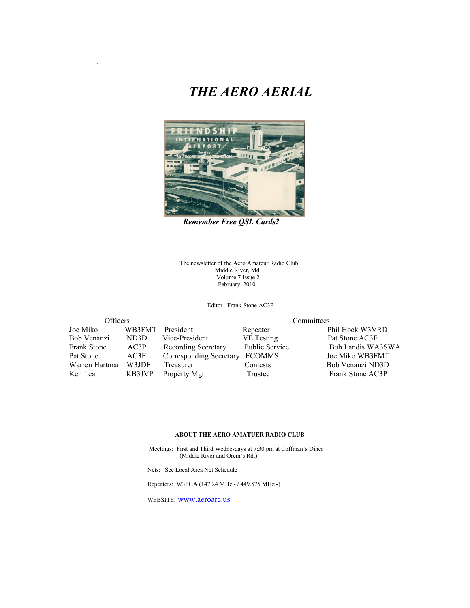### *THE AERO AERIAL*



*Remember Free QSL Cards?*

The newsletter of the Aero Amateur Radio Club Middle River, Md Volume 7 Issue 2 February 2010

Editor Frank Stone AC3P

| UITICETS           |                   |  |  |
|--------------------|-------------------|--|--|
| Joe Miko           | WB3FMT            |  |  |
| Bob Venanzi        | ND <sub>3</sub> D |  |  |
| <b>Frank Stone</b> | AC3P              |  |  |
| Pat Stone          | AC3F              |  |  |
| Warren Hartman     | W3JDF             |  |  |
| Ken Lea            | KB3JVP            |  |  |

.

President Repeater Phil Hock W3VRD Vice-President VE Testing Pat Stone AC3F Corresponding Secretary ECOMMS Treasurer Contests Bob Venanzi ND3D Property Mgr Trustee Frank Stone AC3P

Officers Committees

Recording Secretary Public Service Bob Landis WA3SWA<br>
Corresponding Secretary ECOMMS Joe Miko WB3FMT

#### **ABOUT THE AERO AMATUER RADIO CLUB**

 Meetings: First and Third Wednesdays at 7:30 pm at Coffman's Diner (Middle River and Orem's Rd.)

Nets: See Local Area Net Schedule

Repeaters: W3PGA (147.24 MHz - / 449.575 MHz -)

WEBSITE: [www.aeroarc.us](http://www.aeroarc.us/)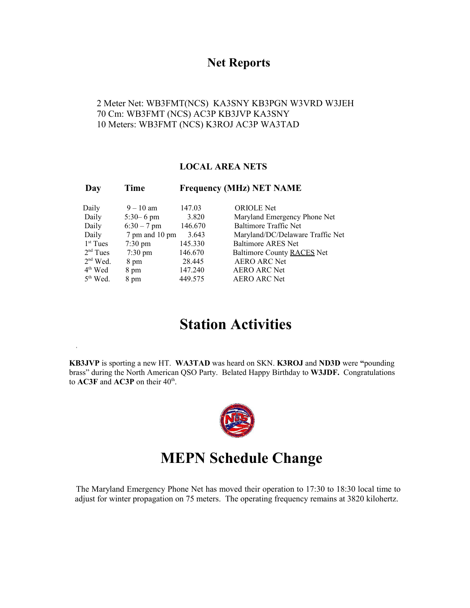#### **Net Reports**

2 Meter Net: WB3FMT(NCS) KA3SNY KB3PGN W3VRD W3JEH 70 Cm: WB3FMT (NCS) AC3P KB3JVP KA3SNY 10 Meters: WB3FMT (NCS) K3ROJ AC3P WA3TAD

#### **LOCAL AREA NETS**

| Day        | Time              | <b>Frequency (MHz) NET NAME</b> |                                  |  |
|------------|-------------------|---------------------------------|----------------------------------|--|
| Daily      | $9 - 10$ am       | 147.03                          | <b>ORIOLE</b> Net                |  |
| Daily      | $5:30 - 6$ pm     | 3.820                           | Maryland Emergency Phone Net     |  |
| Daily      | $6:30 - 7$ pm     | 146.670                         | <b>Baltimore Traffic Net</b>     |  |
| Daily      | 7 pm and 10 pm    | 3.643                           | Maryland/DC/Delaware Traffic Net |  |
| $1st$ Tues | $7:30 \text{ pm}$ | 145.330                         | <b>Baltimore ARES Net</b>        |  |
| $2nd$ Tues | $7:30 \text{ pm}$ | 146.670                         | Baltimore County RACES Net       |  |
| $2nd$ Wed. | 8 pm              | 28.445                          | <b>AERO ARC Net</b>              |  |
| $4th$ Wed  | 8 pm              | 147.240                         | <b>AERO ARC Net</b>              |  |
| $5th$ Wed. | 8 pm              | 449.575                         | <b>AERO ARC Net</b>              |  |

# **Station Activities**

**KB3JVP** is sporting a new HT. **WA3TAD** was heard on SKN. **K3ROJ** and **ND3D** were **"**pounding brass" during the North American QSO Party. Belated Happy Birthday to **W3JDF.** Congratulations to  $\mathbf{AC3F}$  and  $\mathbf{AC3P}$  on their  $40^{\text{th}}$ .



## **MEPN Schedule Change**

The Maryland Emergency Phone Net has moved their operation to 17:30 to 18:30 local time to adjust for winter propagation on 75 meters. The operating frequency remains at 3820 kilohertz.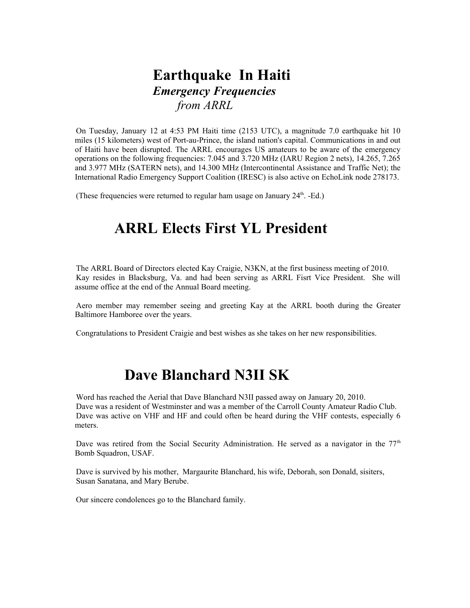## **Earthquake In Haiti** *Emergency Frequencies from ARRL*

On Tuesday, January 12 at 4:53 PM Haiti time (2153 UTC), a magnitude 7.0 earthquake hit 10 miles (15 kilometers) west of Port-au-Prince, the island nation's capital. Communications in and out of Haiti have been disrupted. The ARRL encourages US amateurs to be aware of the emergency operations on the following frequencies: 7.045 and 3.720 MHz (IARU Region 2 nets), 14.265, 7.265 and 3.977 MHz (SATERN nets), and 14.300 MHz (Intercontinental Assistance and Traffic Net); the International Radio Emergency Support Coalition (IRESC) is also active on EchoLink node 278173.

(These frequencies were returned to regular ham usage on January  $24<sup>th</sup>$ . -Ed.)

# **ARRL Elects First YL President**

The ARRL Board of Directors elected Kay Craigie, N3KN, at the first business meeting of 2010. Kay resides in Blacksburg, Va. and had been serving as ARRL Fisrt Vice President. She will assume office at the end of the Annual Board meeting.

Aero member may remember seeing and greeting Kay at the ARRL booth during the Greater Baltimore Hamboree over the years.

Congratulations to President Craigie and best wishes as she takes on her new responsibilities.

### **Dave Blanchard N3II SK**

Word has reached the Aerial that Dave Blanchard N3II passed away on January 20, 2010. Dave was a resident of Westminster and was a member of the Carroll County Amateur Radio Club. Dave was active on VHF and HF and could often be heard during the VHF contests, especially 6 meters.

Dave was retired from the Social Security Administration. He served as a navigator in the  $77<sup>th</sup>$ Bomb Squadron, USAF.

Dave is survived by his mother, Margaurite Blanchard, his wife, Deborah, son Donald, sisiters, Susan Sanatana, and Mary Berube.

Our sincere condolences go to the Blanchard family.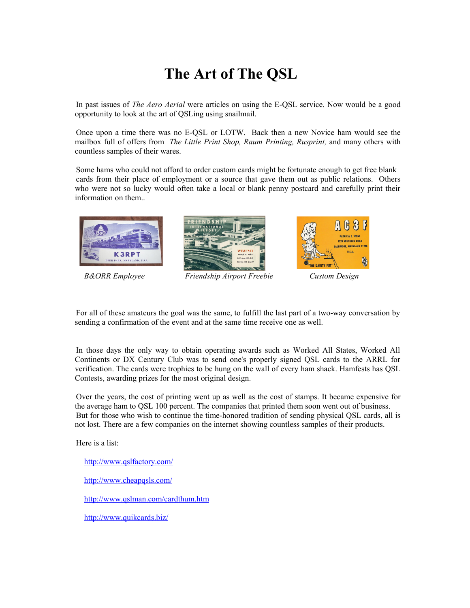# **The Art of The QSL**

In past issues of *The Aero Aerial* were articles on using the E-QSL service. Now would be a good opportunity to look at the art of QSLing using snailmail.

Once upon a time there was no E-QSL or LOTW. Back then a new Novice ham would see the mailbox full of offers from *The Little Print Shop, Raum Printing, Rusprint,* and many others with countless samples of their wares.

Some hams who could not afford to order custom cards might be fortunate enough to get free blank cards from their place of employment or a source that gave them out as public relations. Others who were not so lucky would often take a local or blank penny postcard and carefully print their information on them..





*B&ORR Employee Friendship Airport Freebie Custom Design*



For all of these amateurs the goal was the same, to fulfill the last part of a two-way conversation by sending a confirmation of the event and at the same time receive one as well.

In those days the only way to obtain operating awards such as Worked All States, Worked All Continents or DX Century Club was to send one's properly signed QSL cards to the ARRL for verification. The cards were trophies to be hung on the wall of every ham shack. Hamfests has QSL Contests, awarding prizes for the most original design.

Over the years, the cost of printing went up as well as the cost of stamps. It became expensive for the average ham to QSL 100 percent. The companies that printed them soon went out of business. But for those who wish to continue the time-honored tradition of sending physical QSL cards, all is not lost. There are a few companies on the internet showing countless samples of their products.

Here is a list:

<http://www.qslfactory.com/>

<http://www.cheapqsls.com/>

<http://www.qslman.com/cardthum.htm>

<http://www.quikcards.biz/>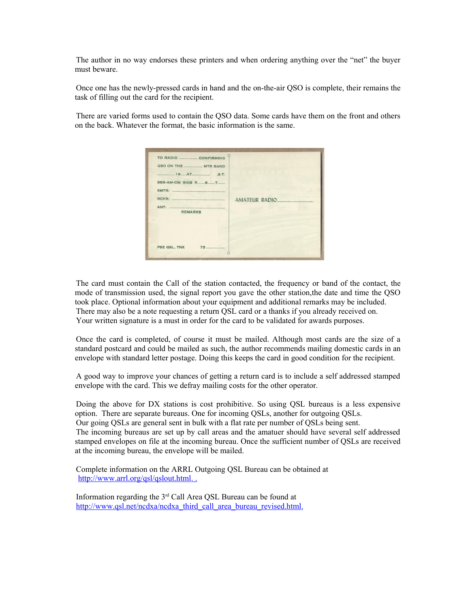The author in no way endorses these printers and when ordering anything over the "net" the buyer must beware.

Once one has the newly-pressed cards in hand and the on-the-air QSO is complete, their remains the task of filling out the card for the recipient.

There are varied forms used to contain the QSO data. Some cards have them on the front and others on the back. Whatever the format, the basic information is the same.

| TO RADIO CONFIRMING<br>QSO ON THE ______________ MTR BAND<br>$19AT$ . S.T.<br>RCVR:<br>ANT:<br><b>REMARKS</b> | AMATEUR RADIO<br>,,,,,,,,,,,,, |
|---------------------------------------------------------------------------------------------------------------|--------------------------------|
| PSE QSL, TNX<br>73                                                                                            |                                |

The card must contain the Call of the station contacted, the frequency or band of the contact, the mode of transmission used, the signal report you gave the other station,the date and time the QSO took place. Optional information about your equipment and additional remarks may be included. There may also be a note requesting a return QSL card or a thanks if you already received on. Your written signature is a must in order for the card to be validated for awards purposes.

Once the card is completed, of course it must be mailed. Although most cards are the size of a standard postcard and could be mailed as such, the author recommends mailing domestic cards in an envelope with standard letter postage. Doing this keeps the card in good condition for the recipient.

A good way to improve your chances of getting a return card is to include a self addressed stamped envelope with the card. This we defray mailing costs for the other operator.

Doing the above for DX stations is cost prohibitive. So using QSL bureaus is a less expensive option. There are separate bureaus. One for incoming QSLs, another for outgoing QSLs. Our going QSLs are general sent in bulk with a flat rate per number of QSLs being sent. The incoming bureaus are set up by call areas and the amatuer should have several self addressed stamped envelopes on file at the incoming bureau. Once the sufficient number of QSLs are received at the incoming bureau, the envelope will be mailed.

Complete information on the ARRL Outgoing QSL Bureau can be obtained at http://www.arrl.org/qsl/qslout.html...

Information regarding the 3rd Call Area QSL Bureau can be found at http://www.qsl.net/ncdxa/ncdxa\_third\_call\_area\_bureau\_revised.html.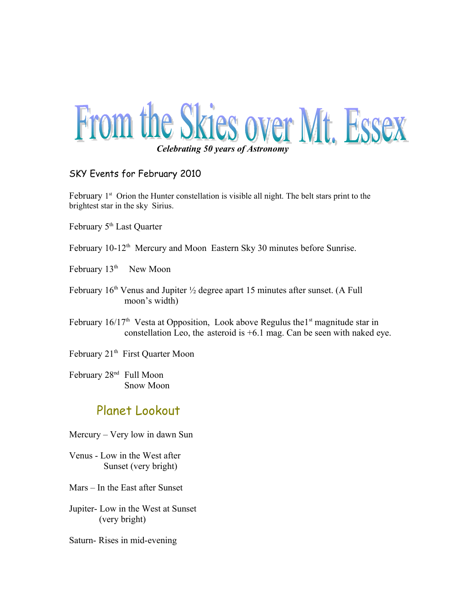

#### SKY Events for February 2010

February  $1<sup>st</sup>$  Orion the Hunter constellation is visible all night. The belt stars print to the brightest star in the sky Sirius.

- February 5<sup>th</sup> Last Quarter
- February 10-12<sup>th</sup> Mercury and Moon Eastern Sky 30 minutes before Sunrise.
- February 13<sup>th</sup> New Moon
- February  $16<sup>th</sup>$  Venus and Jupiter  $\frac{1}{2}$  degree apart 15 minutes after sunset. (A Full moon's width)
- February  $16/17<sup>th</sup>$  Vesta at Opposition, Look above Regulus the 1<sup>st</sup> magnitude star in constellation Leo, the asteroid is +6.1 mag. Can be seen with naked eye.
- February 21<sup>th</sup> First Quarter Moon

February 28<sup>nd</sup> Full Moon Snow Moon

### Planet Lookout

- Mercury Very low in dawn Sun
- Venus Low in the West after Sunset (very bright)
- Mars In the East after Sunset
- Jupiter- Low in the West at Sunset (very bright)
- Saturn- Rises in mid-evening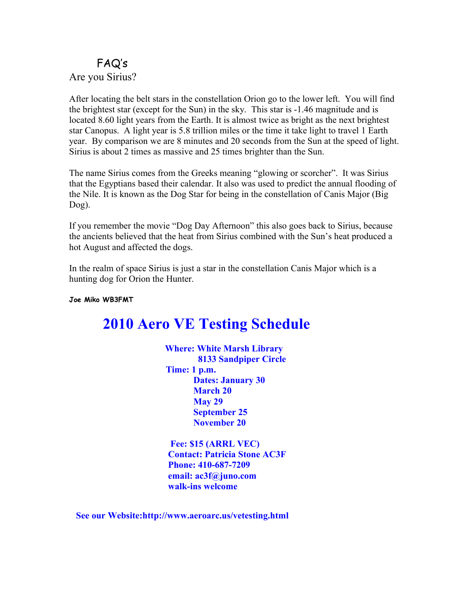### FAQ's Are you Sirius?

After locating the belt stars in the constellation Orion go to the lower left. You will find the brightest star (except for the Sun) in the sky. This star is -1.46 magnitude and is located 8.60 light years from the Earth. It is almost twice as bright as the next brightest star Canopus. A light year is 5.8 trillion miles or the time it take light to travel 1 Earth year. By comparison we are 8 minutes and 20 seconds from the Sun at the speed of light. Sirius is about 2 times as massive and 25 times brighter than the Sun.

The name Sirius comes from the Greeks meaning "glowing or scorcher". It was Sirius that the Egyptians based their calendar. It also was used to predict the annual flooding of the Nile. It is known as the Dog Star for being in the constellation of Canis Major (Big Dog).

If you remember the movie "Dog Day Afternoon" this also goes back to Sirius, because the ancients believed that the heat from Sirius combined with the Sun's heat produced a hot August and affected the dogs.

In the realm of space Sirius is just a star in the constellation Canis Major which is a hunting dog for Orion the Hunter.

**Joe Miko WB3FMT** 

## **2010 Aero VE Testing Schedule**

 **Where: White Marsh Library 8133 Sandpiper Circle Time: 1 p.m. Dates: January 30 March 20 May 29 September 25 November 20**

 **Fee: \$15 (ARRL VEC) Contact: Patricia Stone AC3F Phone: 410-687-7209 email: ac3f@juno.com walk-ins welcome** 

**See our Website:http://www.aeroarc.us/vetesting.html**